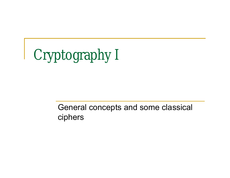Cryptography I

General concepts and some classical ciphers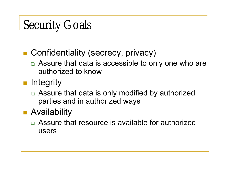# Security Goals

- Confidentiality (secrecy, privacy)
	- □ Assure that data is accessible to only one who are authorized to know
- **n** Integrity
	- □ Assure that data is only modified by authorized parties and in authorized ways
- **Availability** 
	- Assure that resource is available for authorized users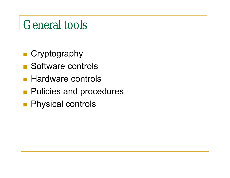## General tools

- **Cryptography**
- Software controls
- **Hardware controls**
- **Policies and procedures**
- **Physical controls**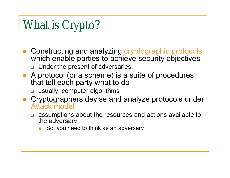# What is Crypto?

- Constructing and analyzing cryptographic protocols which enable parties to achieve security objectives **u** Under the present of adversaries.
- A protocol (or a scheme) is a suite of procedures that tell each party what to do
	- usually, computer algorithms
- **Cryptographers devise and analyze protocols under** Attack model
	- assumptions about the resources and actions available to the adversary
		- So, you need to think as an adversary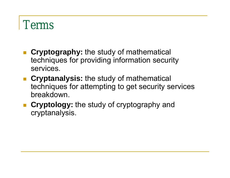## Terms

- **Cryptography:** the study of mathematical techniques for providing information security services.
- **Cryptanalysis:** the study of mathematical techniques for attempting to get security services breakdown.
- **Cryptology:** the study of cryptography and cryptanalysis.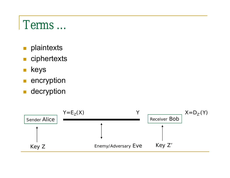## Terms …

- **plaintexts**
- ciphertexts
- **keys**
- **encryption**
- **decryption**

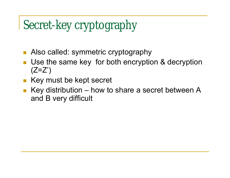# Secret-key cryptography

- Also called: symmetric cryptography
- Use the same key for both encryption & decryption  $(Z=Z')$
- Key must be kept secret
- Key distribution how to share a secret between A and B very difficult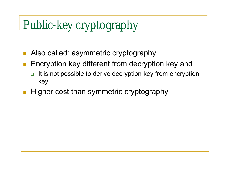# Public-key cryptography

- Also called: asymmetric cryptography
- Encryption key different from decryption key and
	- $\Box$  It is not possible to derive decryption key from encryption key
- **Higher cost than symmetric cryptography**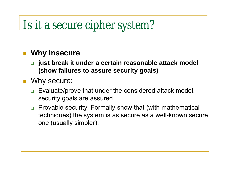# Is it a secure cipher system?

### **Why insecure**

- **just break it under a certain reasonable attack model (show failures to assure security goals)**
- Why secure:
	- □ Evaluate/prove that under the considered attack model, security goals are assured
	- □ Provable security: Formally show that (with mathematical techniques) the system is as secure as a well-known secure one (usually simpler).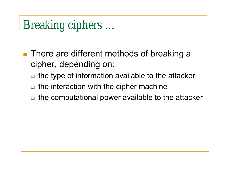## Breaking ciphers …

- There are different methods of breaking a cipher, depending on:
	- □ the type of information available to the attacker
	- $\Box$  the interaction with the cipher machine
	- □ the computational power available to the attacker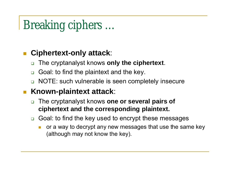# Breaking ciphers …

### **Ciphertext-only attack**:

- The cryptanalyst knows **only the ciphertext**.
- Goal: to find the plaintext and the key.
- □ NOTE: such vulnerable is seen completely insecure

### ■ Known-plaintext attack:

- The cryptanalyst knows **one or several pairs of ciphertext and the corresponding plaintext.**
- **□** Goal: to find the key used to encrypt these messages
	- or a way to decrypt any new messages that use the same key (although may not know the key).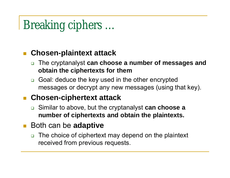# Breaking ciphers …

### **Chosen-plaintext attack**

- The cryptanalyst **can choose a number of messages and obtain the ciphertexts for them**
- Goal: deduce the key used in the other encrypted messages or decrypt any new messages (using that key).

### **Chosen-ciphertext attack**

- Similar to above, but the cryptanalyst **can choose a number of ciphertexts and obtain the plaintexts.**
- Both can be **adaptive** 
	- □ The choice of ciphertext may depend on the plaintext received from previous requests.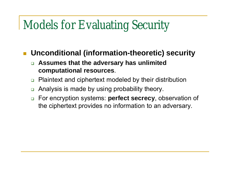## Models for Evaluating Security

### **Unconditional (information-theoretic) security**

- **Assumes that the adversary has unlimited computational resources**.
- □ Plaintext and ciphertext modeled by their distribution
- □ Analysis is made by using probability theory.
- For encryption systems: **perfect secrecy**, observation of the ciphertext provides no information to an adversary.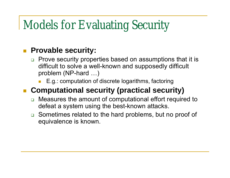## Models for Evaluating Security

### **Provable security:**

- **Prove security properties based on assumptions that it is** difficult to solve a well-known and supposedly difficult problem (NP-hard …)
	- E.g.: computation of discrete logarithms, factoring

### **Computational security (practical security)**

- □ Measures the amount of computational effort required to defeat a system using the best-known attacks.
- **□** Sometimes related to the hard problems, but no proof of equivalence is known.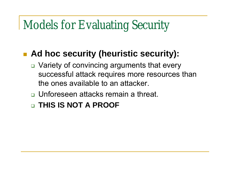## Models for Evaluating Security

### ■ Ad hoc security (heuristic security):

- □ Variety of convincing arguments that every successful attack requires more resources than the ones available to an attacker.
- □ Unforeseen attacks remain a threat.
- **THIS IS NOT A PROOF**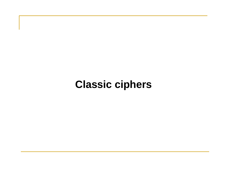### **Classic ciphers**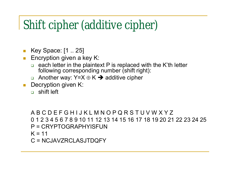## Shift cipher (additive cipher)

- **Key Space: [1 .. 25]**
- **Encryption given a key K:** 
	- $\Box$  each letter in the plaintext P is replaced with the K'th letter following corresponding number (shift right):
	- Another way:  $Y=X \oplus K \rightarrow Z$  additive cipher
- Decryption given K:
	- n shift left

```
A B C D E F G H I J K L M N O P Q R S T U V W X Y Z
0 1 2 3 4 5 6 7 8 9 10 11 12 13 14 15 16 17 18 19 20 21 22 23 24 25
P = CRYPTOGRAPHYISFUN
K = 11C = NCJAVZRCLASJTDQFY
```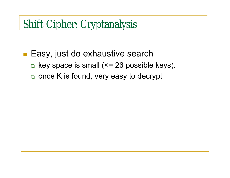Shift Cipher: Cryptanalysis

### **Easy, just do exhaustive search**  $\Box$  key space is small ( $\leq$  26 possible keys).

once K is found, very easy to decrypt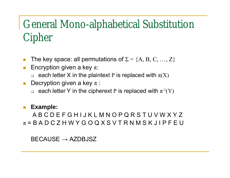### General Mono-alphabetical Substitution Cipher

- The key space: all permutations of  $\Sigma = \{A, B, C, ..., Z\}$
- **Encryption given a key**  $\pi$ **:** 
	- **each letter X in the plaintext P is replaced with**  $\pi(X)$
- Decryption given a key  $\pi$  :
	- each letter Y in the cipherext P is replaced with  $\pi^{-1}(Y)$

#### **Example:**

A B C D E F G H I J K L M N O P Q R S T U V W X Y Z  $\pi$  = B A D C Z H W Y G O Q X S V T R N M S K J I P F E U

 $BECAUSE \rightarrow AZDBJSZ$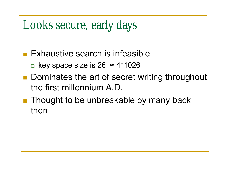# Looks secure, early days

- **Exhaustive search is infeasible** ■ key space size is  $26! \approx 4*1026$
- **Dominates the art of secret writing throughout** the first millennium A.D.
- **Thought to be unbreakable by many back** then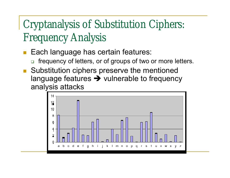### Cryptanalysis of Substitution Ciphers: Frequency Analysis

- Each language has certain features:
	- □ frequency of letters, or of groups of two or more letters.
- Substitution ciphers preserve the mentioned language features  $\rightarrow$  vulnerable to frequency analysis attacks

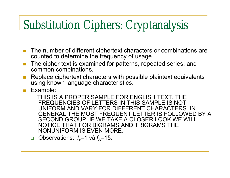## Substitution Ciphers: Cryptanalysis

- **The number of different ciphertext characters or combinations are** counted to determine the frequency of usage.
- **The cipher text is examined for patterns, repeated series, and** common combinations.
- Replace ciphertext characters with possible plaintext equivalents using known language characteristics.
- **Example:**

THIS IS A PROPER SAMPLE FOR ENGLISH TEXT. THE FREQUENCIES OF LETTERS IN THIS SAMPLE IS NOT UNIFORM AND VARY FOR DIFFERENT CHARACTERS. IN GENERAL THE MOST FREQUENT LETTER IS FOLLOWED BY A SECOND GROUP. IF WE TAKE A CLOSER LOOK WE WILL NOTICE THAT FOR BIGRAMS AND TRIGRAMS THE NONUNIFORM IS EVEN MORE.

**Observations:**  $f_x = 1$  và  $f_A = 15$ .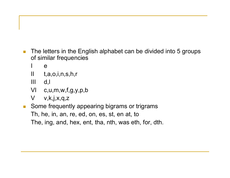- The letters in the English alphabet can be divided into 5 groups of similar frequencies
	- $\mathbf e$
	- II t,a,o,i,n,s,h,r
	- III d,l
	- VI c,u,m,w,f,g,y,p,b
	- $V$  v,k,j,x,q,z
- Some frequently appearing bigrams or trigrams Th, he, in, an, re, ed, on, es, st, en at, to The, ing, and, hex, ent, tha, nth, was eth, for, dth.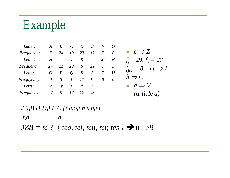# Example

| Letter:            | A               | B                |                |                  | E                | $\bm{F}$         | $\overline{G}$ |                               |
|--------------------|-----------------|------------------|----------------|------------------|------------------|------------------|----------------|-------------------------------|
| <i>Frequency:</i>  | 5 <sup>5</sup>  | 24               | 19             | 23               | 12               |                  | $\theta$       | $e \Rightarrow Z$             |
| Letter:            | $H_{\parallel}$ |                  | $J_{-}$        | K                | $\boldsymbol{L}$ | $\boldsymbol{M}$ | N              | $f_i = 29, f_v = 2$           |
| <i>Frequency:</i>  | 24              | 21               | 29             | 6                | 21               |                  |                | $f_{icz} = 8 \rightarrow t =$ |
| Letter:            | 0               | $\boldsymbol{P}$ | $\overline{O}$ | $\boldsymbol{R}$ | S                |                  | U              |                               |
| <i>Frequyency:</i> | $\theta$        | $\overline{3}$   |                | 11               | 14               | 8                | $\theta$       | $h \Rightarrow C$             |
| Letter:            | V               | W                | X              |                  | Z                |                  |                | $a \Rightarrow V$             |
| <i>Frequency:</i>  |                 | 27 5             | 17             | 12               | 45               |                  |                | $(\textit{article } a)$       |
|                    |                 |                  |                |                  |                  |                  |                |                               |

$$
e \Rightarrow Z
$$
  
\n $f_j = 29, f_v = 27$   
\n $f_{jcz} = 8 \rightarrow t \Rightarrow J$   
\n $h \Rightarrow C$   
\n $a \Rightarrow V$   
\n*(article a)*

*J,V,B,H,D,I,L,C {t,a,o,i,n,s,h,r}*

*t,a h*

*JZB* = te ? { teo, tei, ten, ter, tes }  $\rightarrow$  n  $\Rightarrow$  B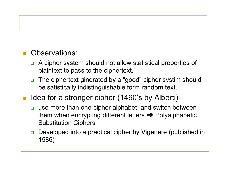#### Observations:

- A cipher system should not allow statistical properties of plaintext to pass to the ciphertext.
- The ciphertext ginerated by a "good" cipher systim should be satistically indistinguishable form random text.
- Idea for a stronger cipher (1460's by Alberti)
	- □ use more than one cipher alphabet, and switch between them when encrypting different letters  $\rightarrow$  Polyalphabetic Substitution Ciphers
	- □ Developed into a practical cipher by Vigenère (published in 1586)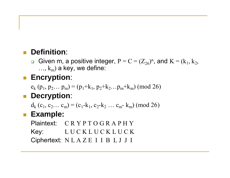### **Definition**:

Given m, a positive integer,  $P = C = (Z_{26})^n$ , and  $K = (k_1, k_2, k_3)$  $..., k_m$ ) a key, we define:

### **Encryption**:

 $e_k$  (p<sub>1</sub>, p<sub>2</sub>... p<sub>m</sub>) = (p<sub>1</sub>+k<sub>1</sub>, p<sub>2</sub>+k<sub>2</sub>...p<sub>m</sub>+k<sub>m</sub>) (mod 26)

### **Decryption:**

 $d_k$  (c<sub>1</sub>, c<sub>2</sub>… c<sub>m</sub>) = (c<sub>1</sub>-k<sub>1</sub>, c<sub>2</sub>-k<sub>2</sub> … c<sub>m</sub>-k<sub>m</sub>) (mod 26)

### **Example:**

Plaintext: C R Y P T O G R A P H Y Key: L U C K L U C K L U C K Ciphertext: N L A Z E I I B L J J I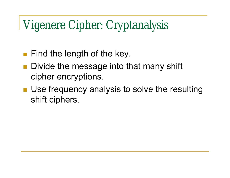## Vigenere Cipher: Cryptanalysis

- **Find the length of the key.**
- **Divide the message into that many shift** cipher encryptions.
- **Use frequency analysis to solve the resulting** shift ciphers.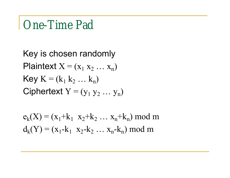### One-Time Pad

Key is chosen randomly Plaintext  $X = (x_1 x_2 ... x_n)$ **Key**  $K = (k_1 k_2 ... k_n)$ Ciphertext  $Y = (y_1 y_2 ... y_n)$ 

$$
e_k(X) = (x_1+k_1 x_2+k_2 ... x_n+k_n) \text{ mod } m
$$
  
 $d_k(Y) = (x_1-k_1 x_2-k_2 ... x_n-k_n) \text{ mod } m$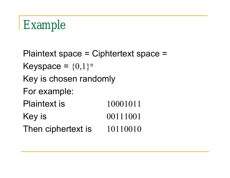# Example

Plaintext space = Ciphtertext space = Keyspace =  $\{0,1\}^n$ Key is chosen randomly For example: Plaintext is 10001011 Key is 00111001 Then ciphertext is 10110010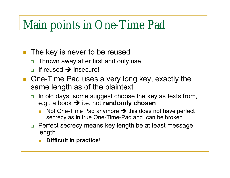## Main points in One-Time Pad

- **The key is never to be reused** 
	- □ Thrown away after first and only use
	- $\Box$  If reused  $\rightarrow$  insecure!
- One-Time Pad uses a very long key, exactly the same length as of the plaintext
	- $\Box$  In old days, some suggest choose the key as texts from, e.g., a book → i.e. not **randomly chosen** 
		- Not One-Time Pad anymore  $\rightarrow$  this does not have perfect secrecy as in true One-Time-Pad and can be broken
	- □ Perfect secrecy means key length be at least message length
		- **Difficult in practice**!